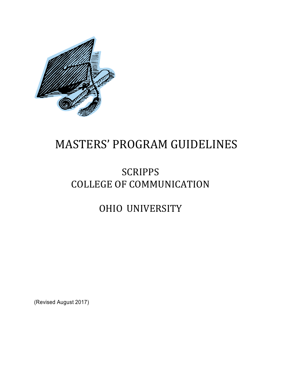

# MASTERS' PROGRAM GUIDELINES

# **SCRIPPS** COLLEGE OF COMMUNICATION

# OHIO UNIVERSITY

(Revised August 2017)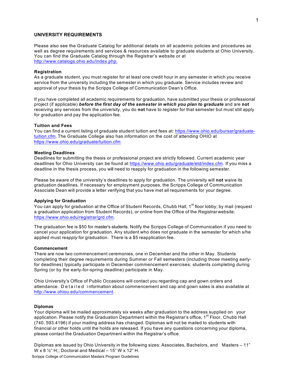# **UNIVERSITY REQUIREMENTS**

Please also see the Graduate Catalog for additional details on all academic policies and procedures as well as degree requirements and services & resources available to graduate students at Ohio University. You can find the Graduate Catalog through the Registrar's website or at http://www.catalogs.ohio.edu/index.php.

### **Registration**

As a graduate student, you must register for at least one credit hour in any semester in which you receive service from the university including the semester in which you graduate. Service includes review and approval of your thesis by the Scripps College of Communication Dean's Office.

If you have completed all academic requirements for graduation, have submitted your thesis or professional project (if applicable) *before the first day of the semester in which you plan to graduate* and are **not** receiving any services from the university, you do **not** have to register for that semester but must still apply for graduation and pay the application fee.

# **Tuition and Fees**

You can find a current listing of graduate student tuition and fees at: https://www.ohio.edu/bursar/graduatetuition.cfm**.** The Graduate College also has information on the cost of attending OHIO at https://www.ohio.edu/graduate/tuition.cfm .

#### **Meeting Deadlines**

Deadlines for submitting the thesis or professional project are strictly followed. Current academic year deadlines for Ohio University can be found at https://www.ohio.edu/graduate/etd/index.cfm. If you miss a deadline in the thesis process, you will need to reapply for graduation in the following semester.

Please be aware of the university's deadlines to apply for graduation. The university will **not** waive its graduation deadlines. If necessary for employment purposes, the Scripps College of Communication Associate Dean will provide a letter verifying that you have met all requirements for your degree.

### **Applying for Graduation**

You can apply for graduation at the Office of Student Records, Chubb Hall, 1<sup>st</sup> floor lobby; by mail (request a graduation application from Student Records), or online from the Office of the Registrarwebsite: https://www.ohio.edu/registrar/grd.cfm.

The graduation fee is \$50 for master's students. Notify the Scripps College of Communication if you need to cancel your application for graduation. Any student who does not graduate in the semester for which s/he applied must *reapply* for graduation. There is a \$5 reapplication fee.

#### **Commencement**

There are now two commencement ceremonies, one in December and the other in May. Students completing their degree requirements during Summer or Fall semesters (including those meeting earlyfor deadlines) typically participate in December commencement exercises; students completing during Spring (or by the early-for-spring deadline) participate in May.

Ohio University's Office of Public Occasions will contact you regarding cap and gown orders and attendance. Detailed i nformation about commencement and cap and gown sales is also available at http://www.ohiou.edu/commencement.

#### **Diplomas**

Your diploma will be mailed approximately six weeks after graduation to the address supplied on your application. Please notify the Graduation Department within the Registrar's office, 1<sup>st</sup> Floor, Chubb Hall (740. 593.4196) if your mailing address has changed. Diplomas will not be mailed to students with financial or other holds until the holds are released. If you have any questions concerning your diploma, please contact the Graduation Department within the Registrar's office.

Scripps College of Communication Masters Program Guidelines Diplomas are issued by Ohio University in the following sizes: Associates, Bachelors, and Masters – 11" W x 8  $\frac{1}{2}$ " H;; Doctoral and Medical – 15" W x 12" H.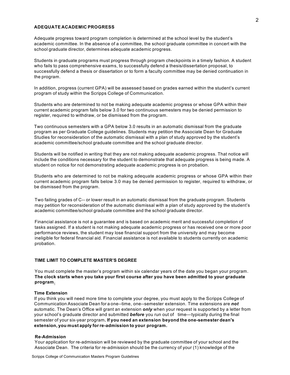#### **ADEQUATE ACADEMIC PROGRESS**

Adequate progress toward program completion is determined at the school level by the student's academic committee. In the absence of a committee, the school graduate committee in concert with the school graduate director, determines adequate academic progress.

Students in graduate programs must progress through program checkpoints in a timely fashion. A student who fails to pass comprehensive exams, to successfully defend a thesis/dissertation proposal, to successfully defend a thesis or dissertation or to form a faculty committee may be denied continuation in the program.

In addition, progress (current GPA) will be assessed based on grades earned within the student's current program of study within the Scripps College of Communication.

Students who are determined to not be making adequate academic progress or whose GPA within their current academic program falls below 3.0 for two continuous semesters may be denied permission to register, required to withdraw, or be dismissed from the program.

Two continuous semesters with a GPA below 3.0 results in an automatic dismissal from the graduate program as per Graduate College guidelines. Students may petition the Associate Dean for Graduate Studies for reconsideration of the automatic dismissal with a plan of study approved by the student's academic committee/school graduate committee and the school graduate director.

Students will be notified in writing that they are not making adequate academic progress. That notice will include the conditions necessary for the student to demonstrate that adequate progress is being made. A student on notice for not demonstrating adequate academic progress is on probation.

Students who are determined to not be making adequate academic progress or whose GPA within their current academic program falls below 3.0 may be denied permission to register, required to withdraw, or be dismissed from the program.

Two failing grades of C-- or lower result in an automatic dismissal from the graduate program. Students may petition for reconsideration of the automatic dismissal with a plan of study approved by the student's academic committee/school graduate committee and the school graduate director.

Financial assistance is not a guarantee and is based on academic merit and successful completion of tasks assigned. If a student is not making adequate academic progress or has received one or more poor performance reviews, the student may lose financial support from the university and may become ineligible for federal financial aid. Financial assistance is not available to students currently on academic probation.

# **TIME LIMIT TO COMPLETE MASTER'S DEGREE**

You must complete the master's program within six calendar years of the date you began your program. **The clock starts when you take your first course after you have been admitted to your graduate program.**

# **Time Extension**

If you think you will need more time to complete your degree, you must apply to the Scripps College of Communication Associate Dean for a one--time, one--semester extension. Time extensions are *not* automatic. The Dean's Office will grant an extension *only* when your request is supported by a letter from your school's graduate director and submitted *before* you run out of time—typically during the final semester of your six-year program**. If you need an extension beyond the one-semester dean's extension, you must apply forre-admission to your program.**

#### **Re--Admission**

Your application for re-admission will be reviewed by the graduate committee of your school and the Associate Dean. The criteria for re-admission should be the currency of your (1) knowledge of the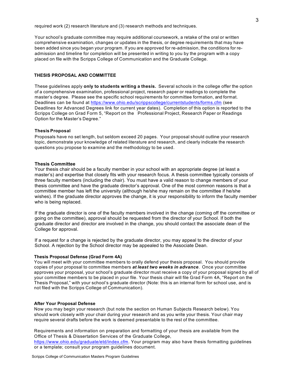required work (2) research literature and (3) research methods and techniques.

Your school's graduate committee may require additional coursework, a retake of the oral or written comprehensive examination, changes or updates in the thesis, or degree requirements that may have been added since you began your program. If you are approved for re-admission, the conditions for readmission and timeline for completion will be presented in writing to you by the program with a copy placed on file with the Scripps College of Communication and the Graduate College.

# **THESIS PROPOSAL AND COMMITTEE**

These guidelines apply **only to students writing a thesis.** Several schools in the college offer the option of a comprehensive examination, professional project, research paper or readings to complete the master's degree. Please see the specific school requirements for committee formation, and format. Deadlines can be found at https://www.ohio.edu/scrippscollege/currentstudents/forms.cfm (see Deadlines for Advanced Degrees link for current year dates). Completion of this option is reported to the Scripps College on Grad Form 5, "Report on the Professional Project, Research Paper or Readings Option for the Master's Degree."

#### **Thesis Proposal**

Proposals have no set length, but seldom exceed 20 pages. Your proposal should outline your research topic, demonstrate your knowledge of related literature and research, and clearly indicate the research questions you propose to examine and the methodology to be used.

### **Thesis Committee**

Your thesis chair should be a faculty member in your school with an appropriate degree (at least a master's) and expertise that closely fits with your research focus. A thesis committee typically consists of three faculty members (including the chair). You must have a valid reason to change members of your thesis committee and have the graduate director's approval. One of the most common reasons is that a committee member has left the university (although he/she may remain on the committee if he/she wishes). If the graduate director approves the change, it is your responsibility to inform the faculty member who is being replaced.

If the graduate director is one of the faculty members involved in the change (coming off the committee or going on the committee), approval should be requested from the director of your School. If both the graduate director and director are involved in the change, you should contact the associate dean of the College for approval.

If a request for a change is rejected by the graduate director, you may appeal to the director of your School. A rejection by the School director may be appealed to the Associate Dean.

# **Thesis Proposal Defense (Grad Form 4A)**

You will meet with your committee members to orally defend your thesis proposal. You should provide copies of your proposal to committee members *at least two weeks in advance*. Once your committee approves your proposal, your school's graduate director must receive a copy of your proposal signed by all of your committee members to be placed in your file. Your thesis chair will file Grad Form 4A, "Report on the Thesis Proposal," with your school's graduate director (Note: this is an internal form for school use, and is not filed with the Scripps College of Communication).

#### **After Your Proposal Defense**

Now you may begin your research (but note the section on Human Subjects Research below). You should work closely with your chair during your research and as you write your thesis. Your chair may require several drafts before the work is deemed presentable to the rest of the committee.

Requirements and information on preparation and formatting of your thesis are available from the Office of Thesis & Dissertation Services of the Graduate College,

https://www.ohio.edu/graduate/etd/index.cfm. Your program may also have thesis formatting guidelines or a template; consult your program guidelines document.